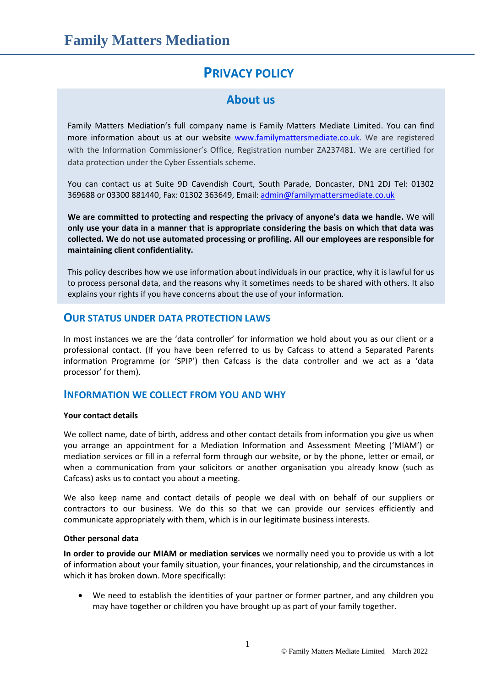# **PRIVACY POLICY**

## **About us**

Family Matters Mediation's full company name is Family Matters Mediate Limited. You can find more information about us at our website [www.familymattersmediate.co.uk.](http://www.familymattersmediate.co.uk/) We are registered with the Information Commissioner's Office, Registration number ZA237481. We are certified for data protection under the Cyber Essentials scheme.

You can contact us at Suite 9D Cavendish Court, South Parade, Doncaster, DN1 2DJ Tel: 01302 369688 or 03300 881440, Fax: 01302 363649, Email: [admin@familymattersmediate.co.uk](mailto:admin@familymattersmediate.co.uk)

**We are committed to protecting and respecting the privacy of anyone's data we handle.** We will **only use your data in a manner that is appropriate considering the basis on which that data was collected. We do not use automated processing or profiling. All our employees are responsible for maintaining client confidentiality.**

This policy describes how we use information about individuals in our practice, why it is lawful for us to process personal data, and the reasons why it sometimes needs to be shared with others. It also explains your rights if you have concerns about the use of your information.

### **OUR STATUS UNDER DATA PROTECTION LAWS**

In most instances we are the 'data controller' for information we hold about you as our client or a professional contact. (If you have been referred to us by Cafcass to attend a Separated Parents information Programme (or 'SPIP') then Cafcass is the data controller and we act as a 'data processor' for them).

### **INFORMATION WE COLLECT FROM YOU AND WHY**

#### **Your contact details**

We collect name, date of birth, address and other contact details from information you give us when you arrange an appointment for a Mediation Information and Assessment Meeting ('MIAM') or mediation services or fill in a referral form through our website, or by the phone, letter or email, or when a communication from your solicitors or another organisation you already know (such as Cafcass) asks us to contact you about a meeting.

We also keep name and contact details of people we deal with on behalf of our suppliers or contractors to our business. We do this so that we can provide our services efficiently and communicate appropriately with them, which is in our legitimate business interests.

#### **Other personal data**

**In order to provide our MIAM or mediation services** we normally need you to provide us with a lot of information about your family situation, your finances, your relationship, and the circumstances in which it has broken down. More specifically:

 We need to establish the identities of your partner or former partner, and any children you may have together or children you have brought up as part of your family together.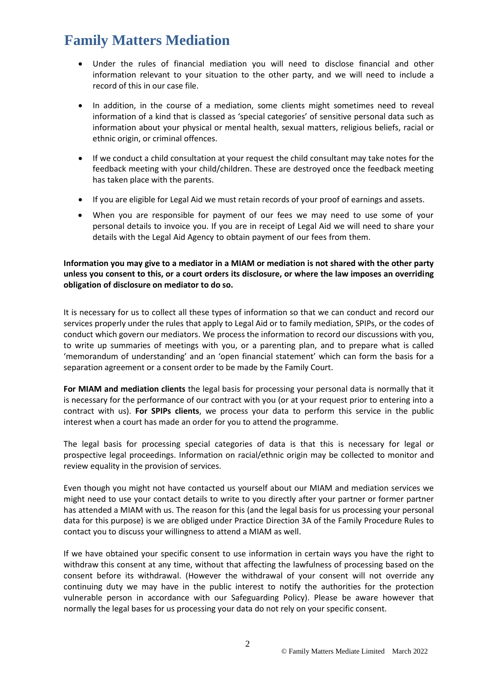# **Family Matters Mediation**

- Under the rules of financial mediation you will need to disclose financial and other information relevant to your situation to the other party, and we will need to include a record of this in our case file.
- In addition, in the course of a mediation, some clients might sometimes need to reveal information of a kind that is classed as 'special categories' of sensitive personal data such as information about your physical or mental health, sexual matters, religious beliefs, racial or ethnic origin, or criminal offences.
- If we conduct a child consultation at your request the child consultant may take notes for the feedback meeting with your child/children. These are destroyed once the feedback meeting has taken place with the parents.
- If you are eligible for Legal Aid we must retain records of your proof of earnings and assets.
- When you are responsible for payment of our fees we may need to use some of your personal details to invoice you. If you are in receipt of Legal Aid we will need to share your details with the Legal Aid Agency to obtain payment of our fees from them.

#### **Information you may give to a mediator in a MIAM or mediation is not shared with the other party unless you consent to this, or a court orders its disclosure, or where the law imposes an overriding obligation of disclosure on mediator to do so.**

It is necessary for us to collect all these types of information so that we can conduct and record our services properly under the rules that apply to Legal Aid or to family mediation, SPIPs, or the codes of conduct which govern our mediators. We process the information to record our discussions with you, to write up summaries of meetings with you, or a parenting plan, and to prepare what is called 'memorandum of understanding' and an 'open financial statement' which can form the basis for a separation agreement or a consent order to be made by the Family Court.

**For MIAM and mediation clients** the legal basis for processing your personal data is normally that it is necessary for the performance of our contract with you (or at your request prior to entering into a contract with us). **For SPIPs clients**, we process your data to perform this service in the public interest when a court has made an order for you to attend the programme.

The legal basis for processing special categories of data is that this is necessary for legal or prospective legal proceedings. Information on racial/ethnic origin may be collected to monitor and review equality in the provision of services.

Even though you might not have contacted us yourself about our MIAM and mediation services we might need to use your contact details to write to you directly after your partner or former partner has attended a MIAM with us. The reason for this (and the legal basis for us processing your personal data for this purpose) is we are obliged under Practice Direction 3A of the Family Procedure Rules to contact you to discuss your willingness to attend a MIAM as well.

If we have obtained your specific consent to use information in certain ways you have the right to withdraw this consent at any time, without that affecting the lawfulness of processing based on the consent before its withdrawal. (However the withdrawal of your consent will not override any continuing duty we may have in the public interest to notify the authorities for the protection vulnerable person in accordance with our Safeguarding Policy). Please be aware however that normally the legal bases for us processing your data do not rely on your specific consent.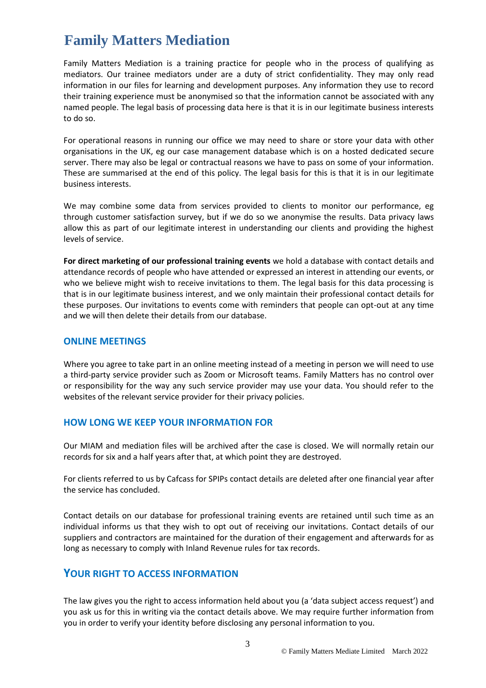# **Family Matters Mediation**

Family Matters Mediation is a training practice for people who in the process of qualifying as mediators. Our trainee mediators under are a duty of strict confidentiality. They may only read information in our files for learning and development purposes. Any information they use to record their training experience must be anonymised so that the information cannot be associated with any named people. The legal basis of processing data here is that it is in our legitimate business interests to do so.

For operational reasons in running our office we may need to share or store your data with other organisations in the UK, eg our case management database which is on a hosted dedicated secure server. There may also be legal or contractual reasons we have to pass on some of your information. These are summarised at the end of this policy. The legal basis for this is that it is in our legitimate business interests.

We may combine some data from services provided to clients to monitor our performance, eg through customer satisfaction survey, but if we do so we anonymise the results. Data privacy laws allow this as part of our legitimate interest in understanding our clients and providing the highest levels of service.

**For direct marketing of our professional training events** we hold a database with contact details and attendance records of people who have attended or expressed an interest in attending our events, or who we believe might wish to receive invitations to them. The legal basis for this data processing is that is in our legitimate business interest, and we only maintain their professional contact details for these purposes. Our invitations to events come with reminders that people can opt-out at any time and we will then delete their details from our database.

#### **ONLINE MEETINGS**

Where you agree to take part in an online meeting instead of a meeting in person we will need to use a third-party service provider such as Zoom or Microsoft teams. Family Matters has no control over or responsibility for the way any such service provider may use your data. You should refer to the websites of the relevant service provider for their privacy policies.

#### **HOW LONG WE KEEP YOUR INFORMATION FOR**

Our MIAM and mediation files will be archived after the case is closed. We will normally retain our records for six and a half years after that, at which point they are destroyed.

For clients referred to us by Cafcass for SPIPs contact details are deleted after one financial year after the service has concluded.

Contact details on our database for professional training events are retained until such time as an individual informs us that they wish to opt out of receiving our invitations. Contact details of our suppliers and contractors are maintained for the duration of their engagement and afterwards for as long as necessary to comply with Inland Revenue rules for tax records.

#### **YOUR RIGHT TO ACCESS INFORMATION**

The law gives you the right to access information held about you (a 'data subject access request') and you ask us for this in writing via the contact details above. We may require further information from you in order to verify your identity before disclosing any personal information to you.